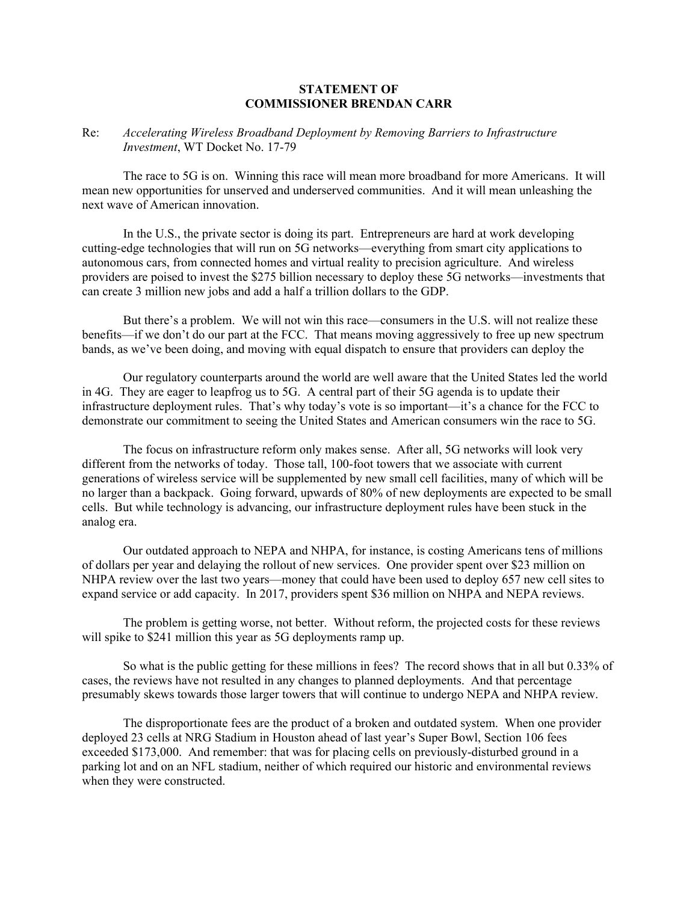## **STATEMENT OF COMMISSIONER BRENDAN CARR**

## Re: *Accelerating Wireless Broadband Deployment by Removing Barriers to Infrastructure Investment*, WT Docket No. 17-79

The race to 5G is on. Winning this race will mean more broadband for more Americans. It will mean new opportunities for unserved and underserved communities. And it will mean unleashing the next wave of American innovation.

In the U.S., the private sector is doing its part. Entrepreneurs are hard at work developing cutting-edge technologies that will run on 5G networks—everything from smart city applications to autonomous cars, from connected homes and virtual reality to precision agriculture. And wireless providers are poised to invest the \$275 billion necessary to deploy these 5G networks—investments that can create 3 million new jobs and add a half a trillion dollars to the GDP.

But there's a problem. We will not win this race—consumers in the U.S. will not realize these benefits—if we don't do our part at the FCC. That means moving aggressively to free up new spectrum bands, as we've been doing, and moving with equal dispatch to ensure that providers can deploy the

Our regulatory counterparts around the world are well aware that the United States led the world in 4G. They are eager to leapfrog us to 5G. A central part of their 5G agenda is to update their infrastructure deployment rules. That's why today's vote is so important—it's a chance for the FCC to demonstrate our commitment to seeing the United States and American consumers win the race to 5G.

The focus on infrastructure reform only makes sense. After all, 5G networks will look very different from the networks of today. Those tall, 100-foot towers that we associate with current generations of wireless service will be supplemented by new small cell facilities, many of which will be no larger than a backpack. Going forward, upwards of 80% of new deployments are expected to be small cells. But while technology is advancing, our infrastructure deployment rules have been stuck in the analog era.

Our outdated approach to NEPA and NHPA, for instance, is costing Americans tens of millions of dollars per year and delaying the rollout of new services. One provider spent over \$23 million on NHPA review over the last two years—money that could have been used to deploy 657 new cell sites to expand service or add capacity. In 2017, providers spent \$36 million on NHPA and NEPA reviews.

The problem is getting worse, not better. Without reform, the projected costs for these reviews will spike to \$241 million this year as 5G deployments ramp up.

So what is the public getting for these millions in fees? The record shows that in all but 0.33% of cases, the reviews have not resulted in any changes to planned deployments. And that percentage presumably skews towards those larger towers that will continue to undergo NEPA and NHPA review.

The disproportionate fees are the product of a broken and outdated system. When one provider deployed 23 cells at NRG Stadium in Houston ahead of last year's Super Bowl, Section 106 fees exceeded \$173,000. And remember: that was for placing cells on previously-disturbed ground in a parking lot and on an NFL stadium, neither of which required our historic and environmental reviews when they were constructed.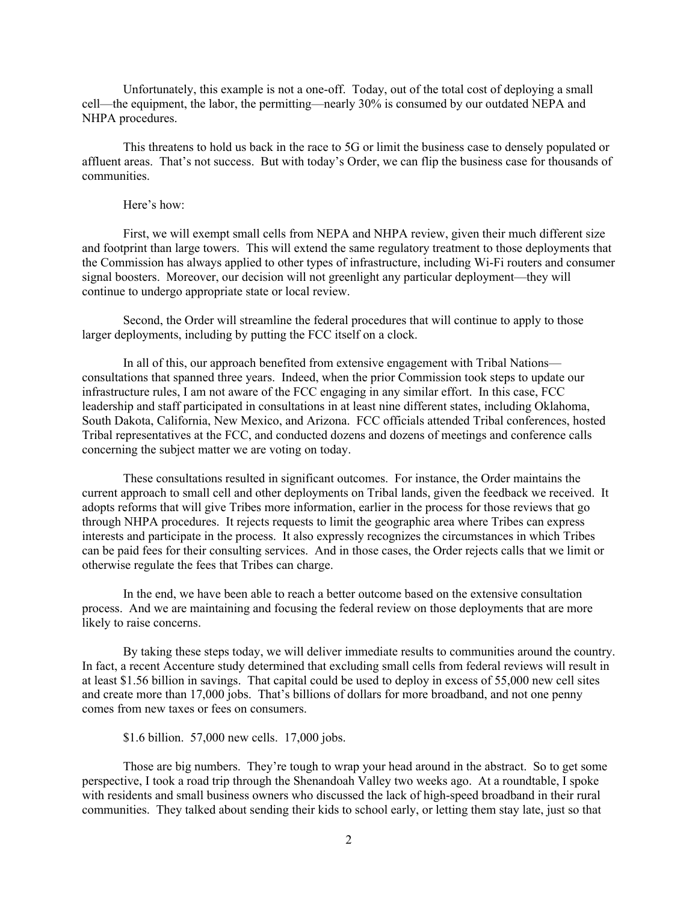Unfortunately, this example is not a one-off. Today, out of the total cost of deploying a small cell—the equipment, the labor, the permitting—nearly 30% is consumed by our outdated NEPA and NHPA procedures.

This threatens to hold us back in the race to 5G or limit the business case to densely populated or affluent areas. That's not success. But with today's Order, we can flip the business case for thousands of communities.

## Here's how:

First, we will exempt small cells from NEPA and NHPA review, given their much different size and footprint than large towers. This will extend the same regulatory treatment to those deployments that the Commission has always applied to other types of infrastructure, including Wi-Fi routers and consumer signal boosters. Moreover, our decision will not greenlight any particular deployment—they will continue to undergo appropriate state or local review.

Second, the Order will streamline the federal procedures that will continue to apply to those larger deployments, including by putting the FCC itself on a clock.

In all of this, our approach benefited from extensive engagement with Tribal Nations consultations that spanned three years. Indeed, when the prior Commission took steps to update our infrastructure rules, I am not aware of the FCC engaging in any similar effort. In this case, FCC leadership and staff participated in consultations in at least nine different states, including Oklahoma, South Dakota, California, New Mexico, and Arizona. FCC officials attended Tribal conferences, hosted Tribal representatives at the FCC, and conducted dozens and dozens of meetings and conference calls concerning the subject matter we are voting on today.

These consultations resulted in significant outcomes. For instance, the Order maintains the current approach to small cell and other deployments on Tribal lands, given the feedback we received. It adopts reforms that will give Tribes more information, earlier in the process for those reviews that go through NHPA procedures. It rejects requests to limit the geographic area where Tribes can express interests and participate in the process. It also expressly recognizes the circumstances in which Tribes can be paid fees for their consulting services. And in those cases, the Order rejects calls that we limit or otherwise regulate the fees that Tribes can charge.

In the end, we have been able to reach a better outcome based on the extensive consultation process. And we are maintaining and focusing the federal review on those deployments that are more likely to raise concerns.

By taking these steps today, we will deliver immediate results to communities around the country. In fact, a recent Accenture study determined that excluding small cells from federal reviews will result in at least \$1.56 billion in savings. That capital could be used to deploy in excess of 55,000 new cell sites and create more than 17,000 jobs. That's billions of dollars for more broadband, and not one penny comes from new taxes or fees on consumers.

\$1.6 billion. 57,000 new cells. 17,000 jobs.

Those are big numbers. They're tough to wrap your head around in the abstract. So to get some perspective, I took a road trip through the Shenandoah Valley two weeks ago. At a roundtable, I spoke with residents and small business owners who discussed the lack of high-speed broadband in their rural communities. They talked about sending their kids to school early, or letting them stay late, just so that